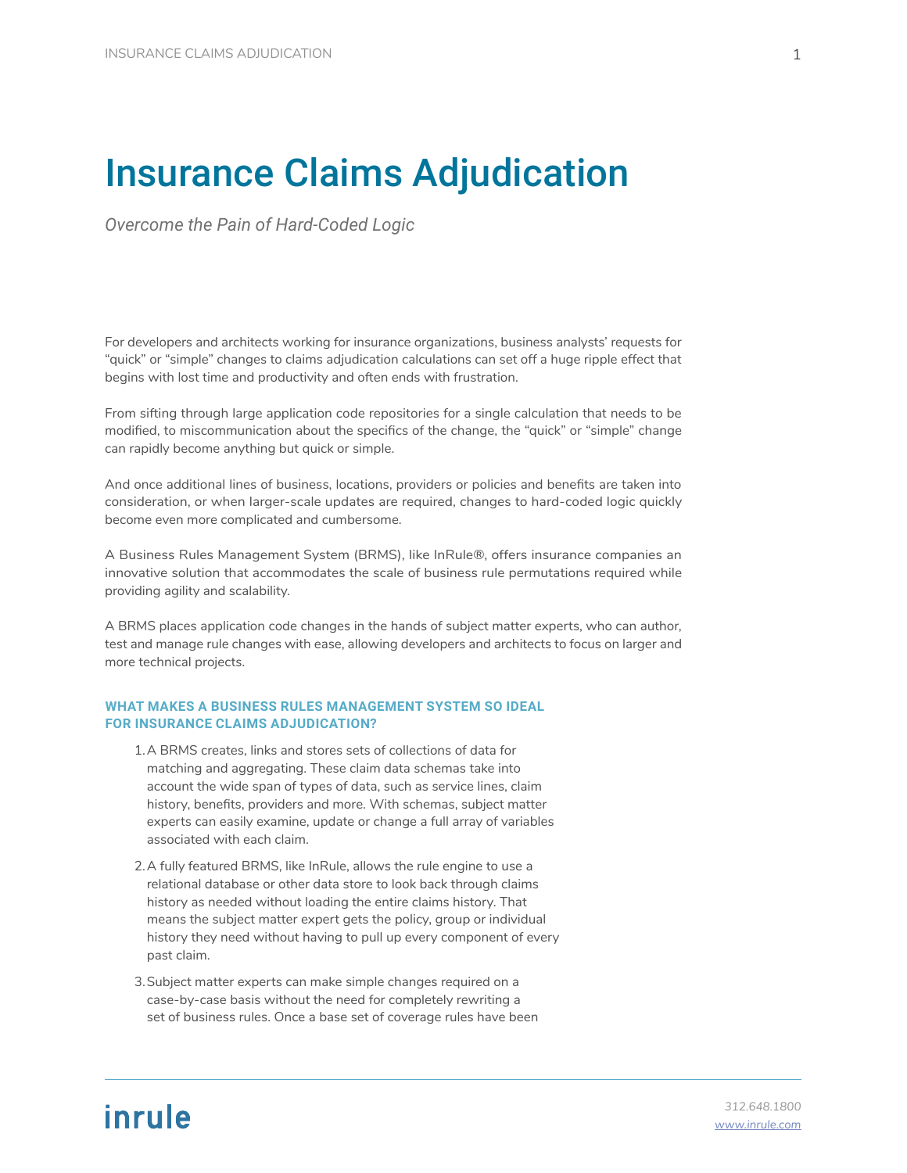## Insurance Claims Adjudication

*Overcome the Pain of Hard-Coded Logic*

For developers and architects working for insurance organizations, business analysts' requests for "quick" or "simple" changes to claims adjudication calculations can set off a huge ripple effect that begins with lost time and productivity and often ends with frustration.

From sifting through large application code repositories for a single calculation that needs to be modified, to miscommunication about the specifics of the change, the "quick" or "simple" change can rapidly become anything but quick or simple.

And once additional lines of business, locations, providers or policies and benefits are taken into consideration, or when larger-scale updates are required, changes to hard-coded logic quickly become even more complicated and cumbersome.

A Business Rules Management System (BRMS), like InRule®, offers insurance companies an innovative solution that accommodates the scale of business rule permutations required while providing agility and scalability.

A BRMS places application code changes in the hands of subject matter experts, who can author, test and manage rule changes with ease, allowing developers and architects to focus on larger and more technical projects.

## **WHAT MAKES A BUSINESS RULES MANAGEMENT SYSTEM SO IDEAL FOR INSURANCE CLAIMS ADJUDICATION?**

- 1.A BRMS creates, links and stores sets of collections of data for matching and aggregating. These claim data schemas take into account the wide span of types of data, such as service lines, claim history, benefits, providers and more. With schemas, subject matter experts can easily examine, update or change a full array of variables associated with each claim.
- 2.A fully featured BRMS, like InRule, allows the rule engine to use a relational database or other data store to look back through claims history as needed without loading the entire claims history. That means the subject matter expert gets the policy, group or individual history they need without having to pull up every component of every past claim.
- 3.Subject matter experts can make simple changes required on a case-by-case basis without the need for completely rewriting a set of business rules. Once a base set of coverage rules have been